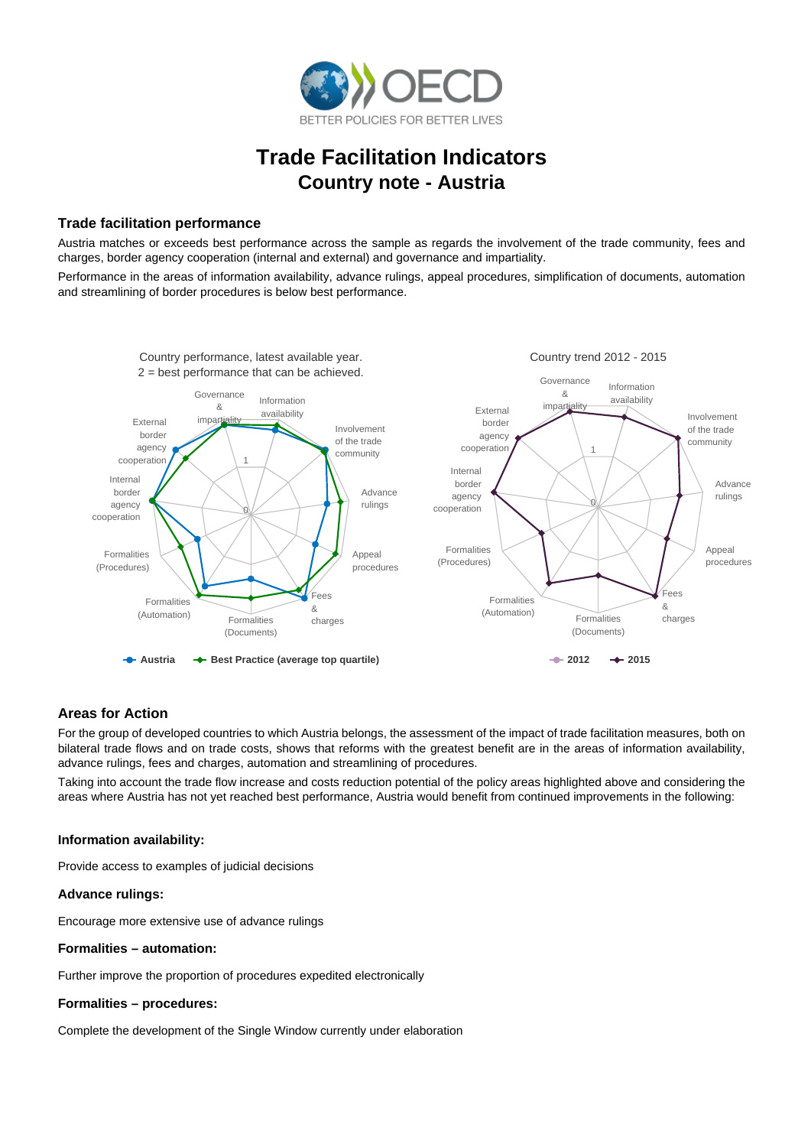

# **Trade Facilitation Indicators Country note - Austria**

## **Trade facilitation performance**

Austria matches or exceeds best performance across the sample as regards the involvement of the trade community, fees and charges, border agency cooperation (internal and external) and governance and impartiality.

Performance in the areas of information availability, advance rulings, appeal procedures, simplification of documents, automation and streamlining of border procedures is below best performance.



# **Areas for Action**

For the group of developed countries to which Austria belongs, the assessment of the impact of trade facilitation measures, both on bilateral trade flows and on trade costs, shows that reforms with the greatest benefit are in the areas of information availability, advance rulings, fees and charges, automation and streamlining of procedures.

Taking into account the trade flow increase and costs reduction potential of the policy areas highlighted above and considering the areas where Austria has not yet reached best performance, Austria would benefit from continued improvements in the following:

#### **Information availability:**

Provide access to examples of judicial decisions

#### **Advance rulings:**

Encourage more extensive use of advance rulings

#### **Formalities – automation:**

Further improve the proportion of procedures expedited electronically

#### **Formalities – procedures:**

Complete the development of the Single Window currently under elaboration